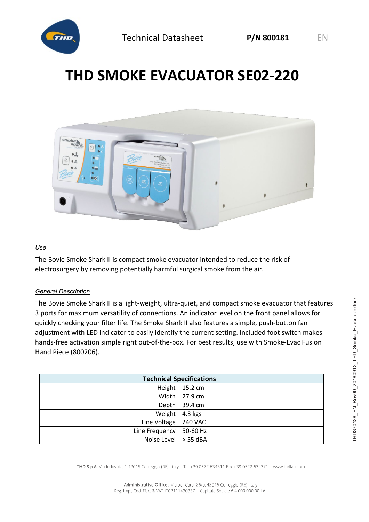

# **THD SMOKE EVACUATOR SE02-220**



### *Use*

The Bovie Smoke Shark II is compact smoke evacuator intended to reduce the risk of electrosurgery by removing potentially harmful surgical smoke from the air.

#### *General Description*

The Bovie Smoke Shark II is a light-weight, ultra-quiet, and compact smoke evacuator that features 3 ports for maximum versatility of connections. An indicator level on the front panel allows for quickly checking your filter life. The Smoke Shark II also features a simple, push-button fan adjustment with LED indicator to easily identify the current setting. Included foot switch makes hands-free activation simple right out-of-the-box. For best results, use with Smoke-Evac Fusion Hand Piece (800206).

| <b>Technical Specifications</b> |                |
|---------------------------------|----------------|
| Height                          | 15.2 cm        |
| Width                           | 27.9 cm        |
| Depth                           | 39.4 cm        |
| Weight                          | $4.3$ kgs      |
| Line Voltage                    | <b>240 VAC</b> |
| Line Frequency                  | 50-60 Hz       |
| Noise Level                     | $> 55$ dBA     |

THD S.p.A. Via Industria, 142015 Correggio (RE), Italy -Tel +39 0522 634311 Fax +39 0522 634371 - www.thdlab.com